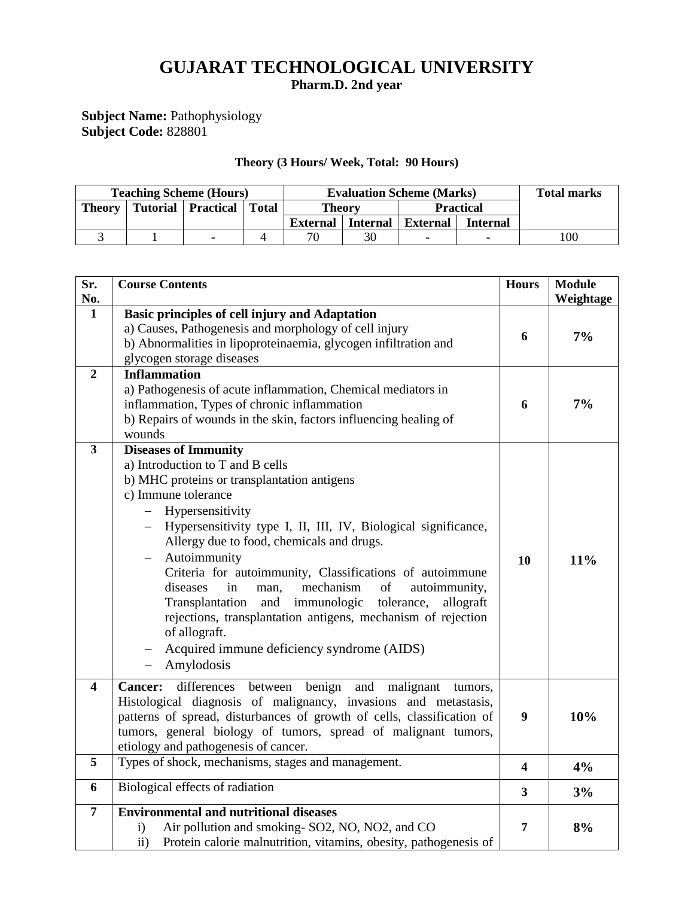# **GUJARAT TECHNOLOGICAL UNIVERSITY Pharm.D. 2nd year**

#### **Subject Name:** Pathophysiology **Subject Code:** 828801

#### **Theory (3 Hours/ Week, Total: 90 Hours)**

| <b>Teaching Scheme (Hours)</b> |  |                              |  | <b>Evaluation Scheme (Marks)</b> |    |                          |                 | <b>Total marks</b> |
|--------------------------------|--|------------------------------|--|----------------------------------|----|--------------------------|-----------------|--------------------|
| <b>Theory</b>                  |  | Tutorial   Practical   Total |  | <b>Theory</b>                    |    | <b>Practical</b>         |                 |                    |
|                                |  |                              |  | <b>External</b> Internal         |    | <b>External</b>          | <b>Internal</b> |                    |
|                                |  |                              |  | 70                               | 30 | $\overline{\phantom{0}}$ |                 | 100                |

| Sr.<br>No.              | <b>Course Contents</b>                                                                                                                                                                                                                                                                                                                                                                                                                                                                                                                                                                                                                | <b>Hours</b>            | <b>Module</b><br>Weightage |
|-------------------------|---------------------------------------------------------------------------------------------------------------------------------------------------------------------------------------------------------------------------------------------------------------------------------------------------------------------------------------------------------------------------------------------------------------------------------------------------------------------------------------------------------------------------------------------------------------------------------------------------------------------------------------|-------------------------|----------------------------|
| 1                       | Basic principles of cell injury and Adaptation<br>a) Causes, Pathogenesis and morphology of cell injury<br>b) Abnormalities in lipoproteinaemia, glycogen infiltration and<br>glycogen storage diseases                                                                                                                                                                                                                                                                                                                                                                                                                               | 6                       | 7%                         |
| $\overline{2}$          | <b>Inflammation</b><br>a) Pathogenesis of acute inflammation, Chemical mediators in<br>inflammation, Types of chronic inflammation<br>b) Repairs of wounds in the skin, factors influencing healing of<br>wounds                                                                                                                                                                                                                                                                                                                                                                                                                      | 6                       | 7%                         |
| $\mathbf{3}$            | <b>Diseases of Immunity</b><br>a) Introduction to T and B cells<br>b) MHC proteins or transplantation antigens<br>c) Immune tolerance<br>- Hypersensitivity<br>Hypersensitivity type I, II, III, IV, Biological significance,<br>Allergy due to food, chemicals and drugs.<br>Autoimmunity<br>Criteria for autoimmunity, Classifications of autoimmune<br>mechanism<br>diseases<br>of<br>autoimmunity,<br>in<br>man,<br>Transplantation<br>and<br>immunologic<br>tolerance,<br>allograft<br>rejections, transplantation antigens, mechanism of rejection<br>of allograft.<br>Acquired immune deficiency syndrome (AIDS)<br>Amylodosis | 10                      | 11%                        |
| $\overline{\mathbf{4}}$ | benign<br>differences<br>between<br>and<br>malignant<br><b>Cancer:</b><br>tumors,<br>Histological diagnosis of malignancy, invasions and metastasis,<br>patterns of spread, disturbances of growth of cells, classification of<br>tumors, general biology of tumors, spread of malignant tumors,<br>etiology and pathogenesis of cancer.                                                                                                                                                                                                                                                                                              | 9                       | 10%                        |
| 5                       | Types of shock, mechanisms, stages and management.                                                                                                                                                                                                                                                                                                                                                                                                                                                                                                                                                                                    | 4                       | 4%                         |
| 6                       | Biological effects of radiation                                                                                                                                                                                                                                                                                                                                                                                                                                                                                                                                                                                                       | $\overline{\mathbf{3}}$ | 3%                         |
| $\overline{7}$          | <b>Environmental and nutritional diseases</b><br>Air pollution and smoking-SO2, NO, NO2, and CO<br>$\mathbf{i}$<br>Protein calorie malnutrition, vitamins, obesity, pathogenesis of<br>$\mathbf{ii}$                                                                                                                                                                                                                                                                                                                                                                                                                                  | 7                       | 8%                         |